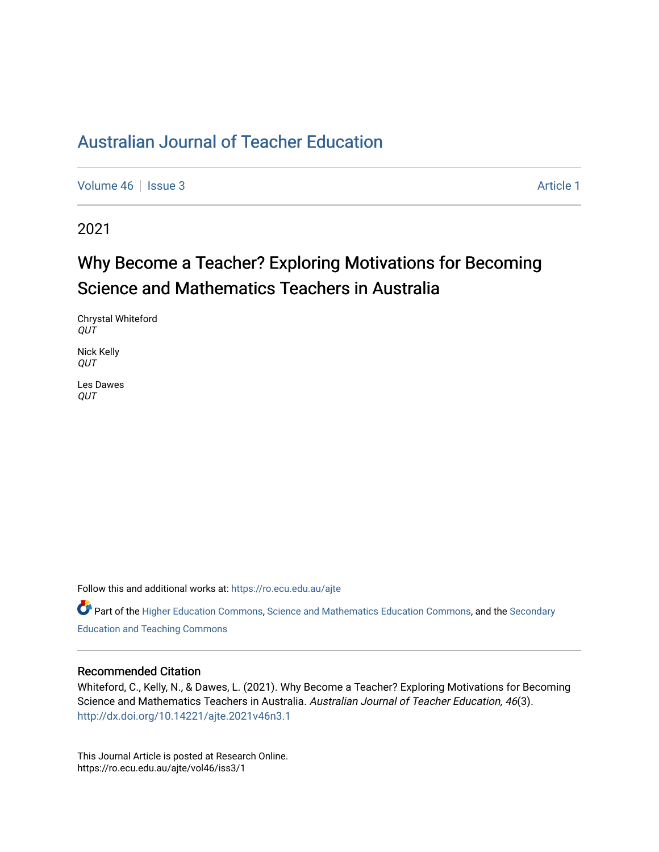[Volume 46](https://ro.ecu.edu.au/ajte/vol46) | [Issue 3](https://ro.ecu.edu.au/ajte/vol46/iss3) Article 1

2021

# Why Become a Teacher? Exploring Motivations for Becoming Science and Mathematics Teachers in Australia

Chrystal Whiteford QUT

Nick Kelly QUT

Les Dawes **OUT** 

Follow this and additional works at: [https://ro.ecu.edu.au/ajte](https://ro.ecu.edu.au/ajte?utm_source=ro.ecu.edu.au%2Fajte%2Fvol46%2Fiss3%2F1&utm_medium=PDF&utm_campaign=PDFCoverPages) 

Part of the [Higher Education Commons](http://network.bepress.com/hgg/discipline/1245?utm_source=ro.ecu.edu.au%2Fajte%2Fvol46%2Fiss3%2F1&utm_medium=PDF&utm_campaign=PDFCoverPages), [Science and Mathematics Education Commons,](http://network.bepress.com/hgg/discipline/800?utm_source=ro.ecu.edu.au%2Fajte%2Fvol46%2Fiss3%2F1&utm_medium=PDF&utm_campaign=PDFCoverPages) and the [Secondary](http://network.bepress.com/hgg/discipline/809?utm_source=ro.ecu.edu.au%2Fajte%2Fvol46%2Fiss3%2F1&utm_medium=PDF&utm_campaign=PDFCoverPages) [Education and Teaching Commons](http://network.bepress.com/hgg/discipline/809?utm_source=ro.ecu.edu.au%2Fajte%2Fvol46%2Fiss3%2F1&utm_medium=PDF&utm_campaign=PDFCoverPages)

## Recommended Citation

Whiteford, C., Kelly, N., & Dawes, L. (2021). Why Become a Teacher? Exploring Motivations for Becoming Science and Mathematics Teachers in Australia. Australian Journal of Teacher Education, 46(3). <http://dx.doi.org/10.14221/ajte.2021v46n3.1>

This Journal Article is posted at Research Online. https://ro.ecu.edu.au/ajte/vol46/iss3/1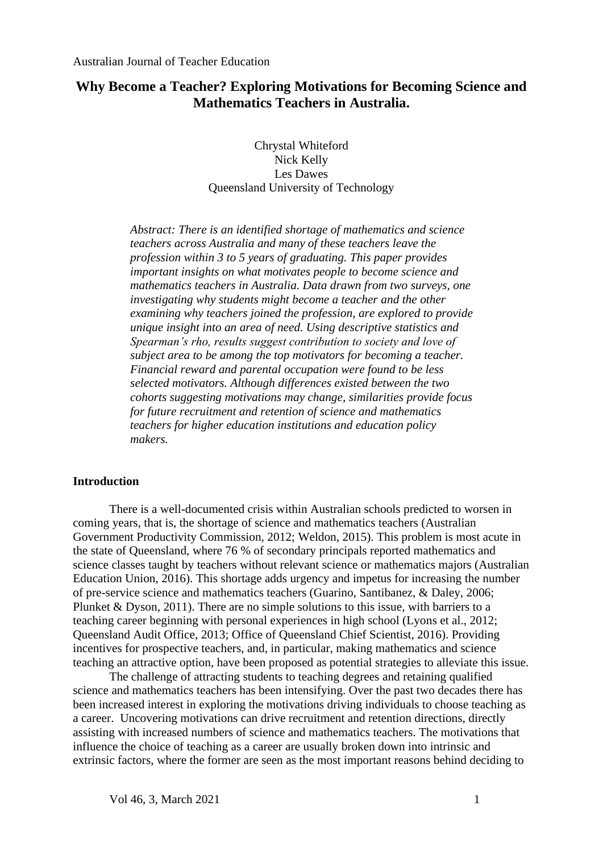## **Why Become a Teacher? Exploring Motivations for Becoming Science and Mathematics Teachers in Australia.**

Chrystal Whiteford Nick Kelly Les Dawes Queensland University of Technology

*Abstract: There is an identified shortage of mathematics and science teachers across Australia and many of these teachers leave the profession within 3 to 5 years of graduating. This paper provides important insights on what motivates people to become science and mathematics teachers in Australia. Data drawn from two surveys, one investigating why students might become a teacher and the other examining why teachers joined the profession, are explored to provide unique insight into an area of need. Using descriptive statistics and Spearman's rho, results suggest contribution to society and love of subject area to be among the top motivators for becoming a teacher. Financial reward and parental occupation were found to be less selected motivators. Although differences existed between the two cohorts suggesting motivations may change, similarities provide focus for future recruitment and retention of science and mathematics teachers for higher education institutions and education policy makers.* 

### **Introduction**

There is a well-documented crisis within Australian schools predicted to worsen in coming years, that is, the shortage of science and mathematics teachers (Australian Government Productivity Commission, 2012; Weldon, 2015). This problem is most acute in the state of Queensland, where 76 % of secondary principals reported mathematics and science classes taught by teachers without relevant science or mathematics majors (Australian Education Union, 2016). This shortage adds urgency and impetus for increasing the number of pre-service science and mathematics teachers (Guarino, Santibanez, & Daley, 2006; Plunket & Dyson, 2011). There are no simple solutions to this issue, with barriers to a teaching career beginning with personal experiences in high school (Lyons et al., 2012; Queensland Audit Office, 2013; Office of Queensland Chief Scientist, 2016). Providing incentives for prospective teachers, and, in particular, making mathematics and science teaching an attractive option, have been proposed as potential strategies to alleviate this issue.

The challenge of attracting students to teaching degrees and retaining qualified science and mathematics teachers has been intensifying. Over the past two decades there has been increased interest in exploring the motivations driving individuals to choose teaching as a career. Uncovering motivations can drive recruitment and retention directions, directly assisting with increased numbers of science and mathematics teachers. The motivations that influence the choice of teaching as a career are usually broken down into intrinsic and extrinsic factors, where the former are seen as the most important reasons behind deciding to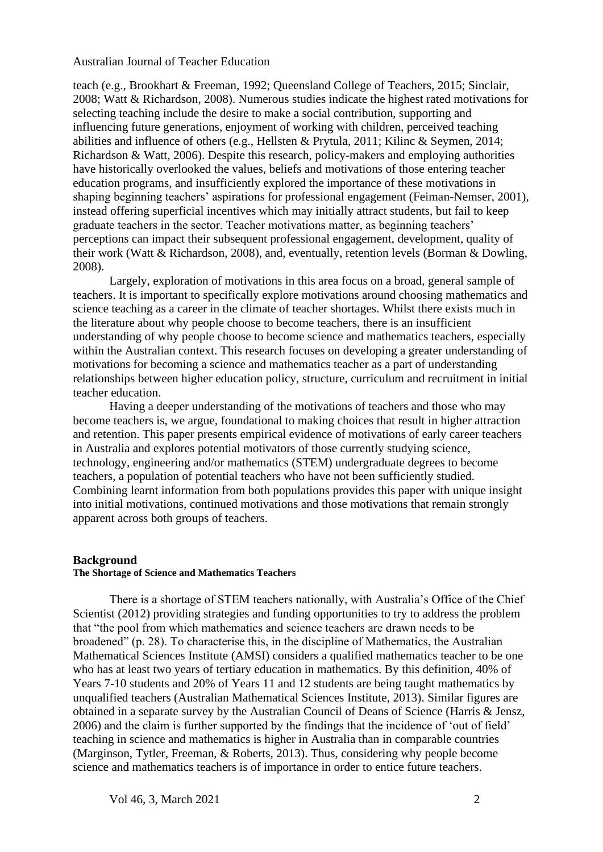teach (e.g., Brookhart & Freeman, 1992; Queensland College of Teachers, 2015; Sinclair, 2008; Watt & Richardson, 2008). Numerous studies indicate the highest rated motivations for selecting teaching include the desire to make a social contribution, supporting and influencing future generations, enjoyment of working with children, perceived teaching abilities and influence of others (e.g., Hellsten & Prytula, 2011; Kilinc & Seymen, 2014; Richardson & Watt, 2006). Despite this research, policy-makers and employing authorities have historically overlooked the values, beliefs and motivations of those entering teacher education programs, and insufficiently explored the importance of these motivations in shaping beginning teachers' aspirations for professional engagement (Feiman-Nemser, 2001), instead offering superficial incentives which may initially attract students, but fail to keep graduate teachers in the sector. Teacher motivations matter, as beginning teachers' perceptions can impact their subsequent professional engagement, development, quality of their work (Watt & Richardson, 2008), and, eventually, retention levels (Borman & Dowling, 2008).

Largely, exploration of motivations in this area focus on a broad, general sample of teachers. It is important to specifically explore motivations around choosing mathematics and science teaching as a career in the climate of teacher shortages. Whilst there exists much in the literature about why people choose to become teachers, there is an insufficient understanding of why people choose to become science and mathematics teachers, especially within the Australian context. This research focuses on developing a greater understanding of motivations for becoming a science and mathematics teacher as a part of understanding relationships between higher education policy, structure, curriculum and recruitment in initial teacher education.

Having a deeper understanding of the motivations of teachers and those who may become teachers is, we argue, foundational to making choices that result in higher attraction and retention. This paper presents empirical evidence of motivations of early career teachers in Australia and explores potential motivators of those currently studying science, technology, engineering and/or mathematics (STEM) undergraduate degrees to become teachers, a population of potential teachers who have not been sufficiently studied. Combining learnt information from both populations provides this paper with unique insight into initial motivations, continued motivations and those motivations that remain strongly apparent across both groups of teachers.

#### **Background**

#### **The Shortage of Science and Mathematics Teachers**

There is a shortage of STEM teachers nationally, with Australia's Office of the Chief Scientist (2012) providing strategies and funding opportunities to try to address the problem that "the pool from which mathematics and science teachers are drawn needs to be broadened" (p. 28). To characterise this, in the discipline of Mathematics, the Australian Mathematical Sciences Institute (AMSI) considers a qualified mathematics teacher to be one who has at least two years of tertiary education in mathematics. By this definition, 40% of Years 7-10 students and 20% of Years 11 and 12 students are being taught mathematics by unqualified teachers (Australian Mathematical Sciences Institute, 2013). Similar figures are obtained in a separate survey by the Australian Council of Deans of Science (Harris & Jensz, 2006) and the claim is further supported by the findings that the incidence of 'out of field' teaching in science and mathematics is higher in Australia than in comparable countries (Marginson, Tytler, Freeman, & Roberts, 2013). Thus, considering why people become science and mathematics teachers is of importance in order to entice future teachers.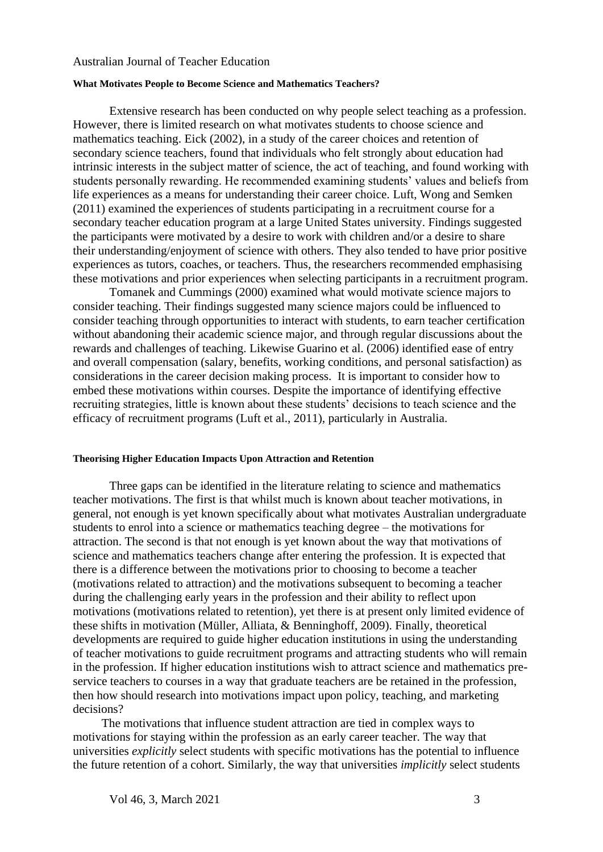#### **What Motivates People to Become Science and Mathematics Teachers?**

Extensive research has been conducted on why people select teaching as a profession. However, there is limited research on what motivates students to choose science and mathematics teaching. Eick (2002), in a study of the career choices and retention of secondary science teachers, found that individuals who felt strongly about education had intrinsic interests in the subject matter of science, the act of teaching, and found working with students personally rewarding. He recommended examining students' values and beliefs from life experiences as a means for understanding their career choice. Luft, Wong and Semken (2011) examined the experiences of students participating in a recruitment course for a secondary teacher education program at a large United States university. Findings suggested the participants were motivated by a desire to work with children and/or a desire to share their understanding/enjoyment of science with others. They also tended to have prior positive experiences as tutors, coaches, or teachers. Thus, the researchers recommended emphasising these motivations and prior experiences when selecting participants in a recruitment program.

Tomanek and Cummings (2000) examined what would motivate science majors to consider teaching. Their findings suggested many science majors could be influenced to consider teaching through opportunities to interact with students, to earn teacher certification without abandoning their academic science major, and through regular discussions about the rewards and challenges of teaching. Likewise Guarino et al. (2006) identified ease of entry and overall compensation (salary, benefits, working conditions, and personal satisfaction) as considerations in the career decision making process. It is important to consider how to embed these motivations within courses. Despite the importance of identifying effective recruiting strategies, little is known about these students' decisions to teach science and the efficacy of recruitment programs (Luft et al., 2011), particularly in Australia.

#### **Theorising Higher Education Impacts Upon Attraction and Retention**

Three gaps can be identified in the literature relating to science and mathematics teacher motivations. The first is that whilst much is known about teacher motivations, in general, not enough is yet known specifically about what motivates Australian undergraduate students to enrol into a science or mathematics teaching degree – the motivations for attraction. The second is that not enough is yet known about the way that motivations of science and mathematics teachers change after entering the profession. It is expected that there is a difference between the motivations prior to choosing to become a teacher (motivations related to attraction) and the motivations subsequent to becoming a teacher during the challenging early years in the profession and their ability to reflect upon motivations (motivations related to retention), yet there is at present only limited evidence of these shifts in motivation (Müller, Alliata, & Benninghoff, 2009). Finally, theoretical developments are required to guide higher education institutions in using the understanding of teacher motivations to guide recruitment programs and attracting students who will remain in the profession. If higher education institutions wish to attract science and mathematics preservice teachers to courses in a way that graduate teachers are be retained in the profession, then how should research into motivations impact upon policy, teaching, and marketing decisions?

The motivations that influence student attraction are tied in complex ways to motivations for staying within the profession as an early career teacher. The way that universities *explicitly* select students with specific motivations has the potential to influence the future retention of a cohort. Similarly, the way that universities *implicitly* select students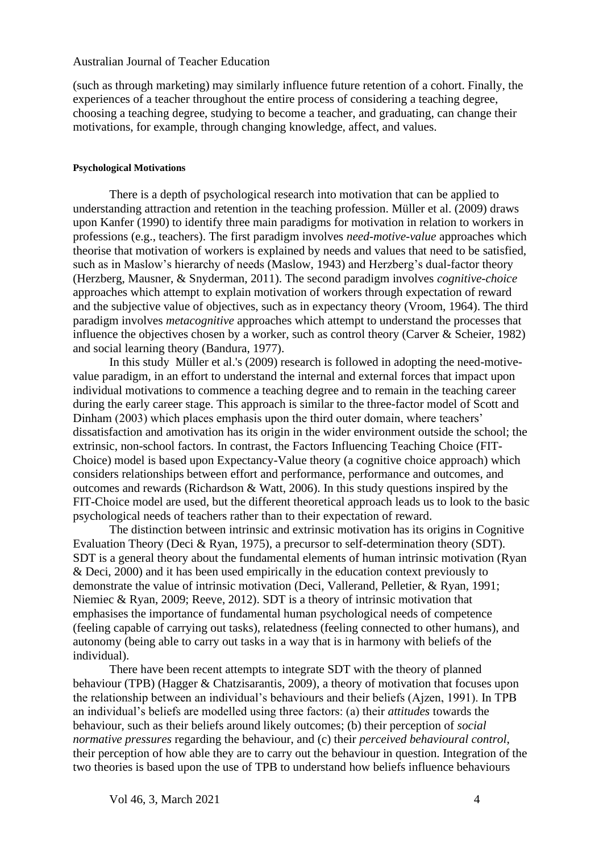(such as through marketing) may similarly influence future retention of a cohort. Finally, the experiences of a teacher throughout the entire process of considering a teaching degree, choosing a teaching degree, studying to become a teacher, and graduating, can change their motivations, for example, through changing knowledge, affect, and values.

#### **Psychological Motivations**

There is a depth of psychological research into motivation that can be applied to understanding attraction and retention in the teaching profession. Müller et al. (2009) draws upon Kanfer (1990) to identify three main paradigms for motivation in relation to workers in professions (e.g., teachers). The first paradigm involves *need-motive-value* approaches which theorise that motivation of workers is explained by needs and values that need to be satisfied, such as in Maslow's hierarchy of needs (Maslow, 1943) and Herzberg's dual-factor theory (Herzberg, Mausner, & Snyderman, 2011). The second paradigm involves *cognitive-choice* approaches which attempt to explain motivation of workers through expectation of reward and the subjective value of objectives, such as in expectancy theory (Vroom, 1964). The third paradigm involves *metacognitive* approaches which attempt to understand the processes that influence the objectives chosen by a worker, such as control theory (Carver & Scheier, 1982) and social learning theory (Bandura, 1977).

In this study Müller et al.'s (2009) research is followed in adopting the need-motivevalue paradigm, in an effort to understand the internal and external forces that impact upon individual motivations to commence a teaching degree and to remain in the teaching career during the early career stage. This approach is similar to the three-factor model of Scott and Dinham (2003) which places emphasis upon the third outer domain, where teachers' dissatisfaction and amotivation has its origin in the wider environment outside the school; the extrinsic, non-school factors. In contrast, the Factors Influencing Teaching Choice (FIT-Choice) model is based upon Expectancy-Value theory (a cognitive choice approach) which considers relationships between effort and performance, performance and outcomes, and outcomes and rewards (Richardson & Watt, 2006). In this study questions inspired by the FIT-Choice model are used, but the different theoretical approach leads us to look to the basic psychological needs of teachers rather than to their expectation of reward.

The distinction between intrinsic and extrinsic motivation has its origins in Cognitive Evaluation Theory (Deci & Ryan, 1975), a precursor to self-determination theory (SDT). SDT is a general theory about the fundamental elements of human intrinsic motivation (Ryan & Deci, 2000) and it has been used empirically in the education context previously to demonstrate the value of intrinsic motivation (Deci, Vallerand, Pelletier, & Ryan, 1991; Niemiec & Ryan, 2009; Reeve, 2012). SDT is a theory of intrinsic motivation that emphasises the importance of fundamental human psychological needs of competence (feeling capable of carrying out tasks), relatedness (feeling connected to other humans), and autonomy (being able to carry out tasks in a way that is in harmony with beliefs of the individual).

There have been recent attempts to integrate SDT with the theory of planned behaviour (TPB) (Hagger & Chatzisarantis, 2009), a theory of motivation that focuses upon the relationship between an individual's behaviours and their beliefs (Ajzen, 1991). In TPB an individual's beliefs are modelled using three factors: (a) their *attitudes* towards the behaviour, such as their beliefs around likely outcomes; (b) their perception of *social normative pressures* regarding the behaviour, and (c) their *perceived behavioural control*, their perception of how able they are to carry out the behaviour in question. Integration of the two theories is based upon the use of TPB to understand how beliefs influence behaviours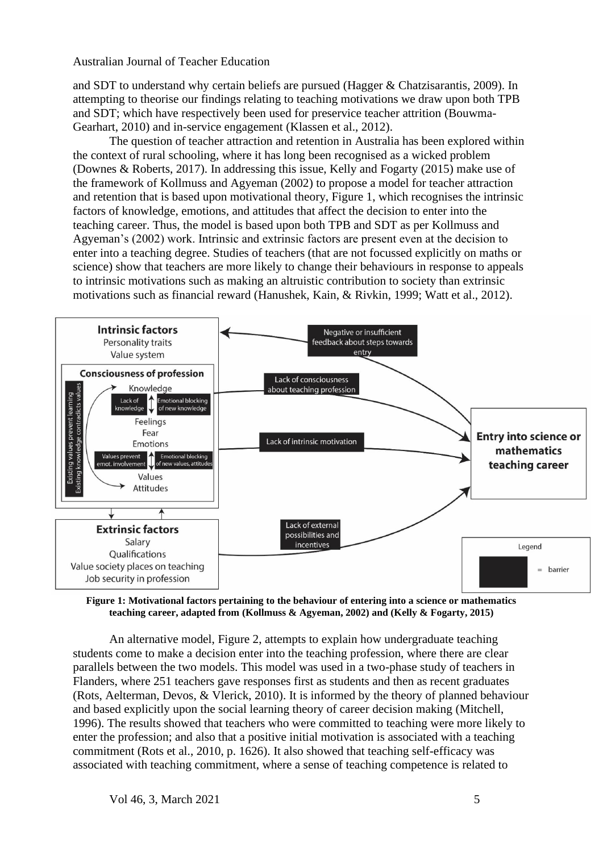and SDT to understand why certain beliefs are pursued (Hagger & Chatzisarantis, 2009). In attempting to theorise our findings relating to teaching motivations we draw upon both TPB and SDT; which have respectively been used for preservice teacher attrition (Bouwma-Gearhart, 2010) and in-service engagement (Klassen et al., 2012).

The question of teacher attraction and retention in Australia has been explored within the context of rural schooling, where it has long been recognised as a wicked problem (Downes & Roberts, 2017). In addressing this issue, Kelly and Fogarty (2015) make use of the framework of Kollmuss and Agyeman (2002) to propose a model for teacher attraction and retention that is based upon motivational theory, Figure 1, which recognises the intrinsic factors of knowledge, emotions, and attitudes that affect the decision to enter into the teaching career. Thus, the model is based upon both TPB and SDT as per Kollmuss and Agyeman's (2002) work. Intrinsic and extrinsic factors are present even at the decision to enter into a teaching degree. Studies of teachers (that are not focussed explicitly on maths or science) show that teachers are more likely to change their behaviours in response to appeals to intrinsic motivations such as making an altruistic contribution to society than extrinsic motivations such as financial reward (Hanushek, Kain, & Rivkin, 1999; Watt et al., 2012).



**Figure 1: Motivational factors pertaining to the behaviour of entering into a science or mathematics teaching career, adapted from (Kollmuss & Agyeman, 2002) and (Kelly & Fogarty, 2015)**

An alternative model, Figure 2, attempts to explain how undergraduate teaching students come to make a decision enter into the teaching profession, where there are clear parallels between the two models. This model was used in a two-phase study of teachers in Flanders, where 251 teachers gave responses first as students and then as recent graduates (Rots, Aelterman, Devos, & Vlerick, 2010). It is informed by the theory of planned behaviour and based explicitly upon the social learning theory of career decision making (Mitchell, 1996). The results showed that teachers who were committed to teaching were more likely to enter the profession; and also that a positive initial motivation is associated with a teaching commitment (Rots et al., 2010, p. 1626). It also showed that teaching self-efficacy was associated with teaching commitment, where a sense of teaching competence is related to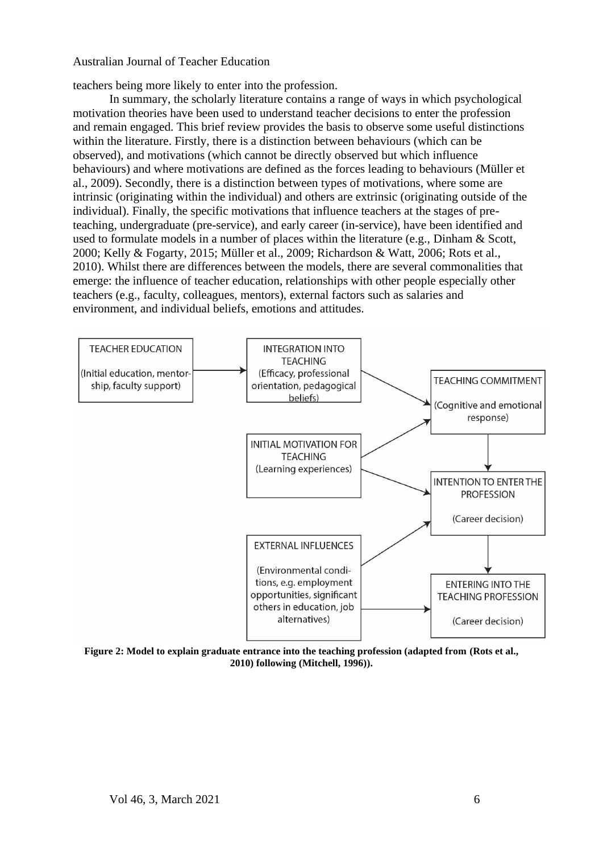teachers being more likely to enter into the profession.

In summary, the scholarly literature contains a range of ways in which psychological motivation theories have been used to understand teacher decisions to enter the profession and remain engaged. This brief review provides the basis to observe some useful distinctions within the literature. Firstly, there is a distinction between behaviours (which can be observed), and motivations (which cannot be directly observed but which influence behaviours) and where motivations are defined as the forces leading to behaviours (Müller et al., 2009). Secondly, there is a distinction between types of motivations, where some are intrinsic (originating within the individual) and others are extrinsic (originating outside of the individual). Finally, the specific motivations that influence teachers at the stages of preteaching, undergraduate (pre-service), and early career (in-service), have been identified and used to formulate models in a number of places within the literature (e.g., Dinham & Scott, 2000; Kelly & Fogarty, 2015; Müller et al., 2009; Richardson & Watt, 2006; Rots et al., 2010). Whilst there are differences between the models, there are several commonalities that emerge: the influence of teacher education, relationships with other people especially other teachers (e.g., faculty, colleagues, mentors), external factors such as salaries and environment, and individual beliefs, emotions and attitudes.



**Figure 2: Model to explain graduate entrance into the teaching profession (adapted from (Rots et al., 2010) following (Mitchell, 1996)).**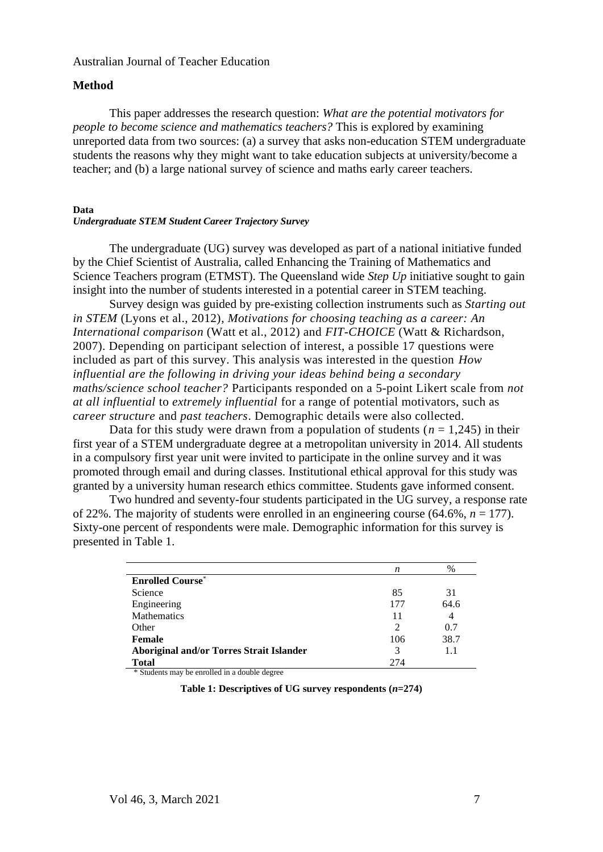### **Method**

This paper addresses the research question: *What are the potential motivators for people to become science and mathematics teachers?* This is explored by examining unreported data from two sources: (a) a survey that asks non-education STEM undergraduate students the reasons why they might want to take education subjects at university/become a teacher; and (b) a large national survey of science and maths early career teachers.

#### **Data**

#### *Undergraduate STEM Student Career Trajectory Survey*

The undergraduate (UG) survey was developed as part of a national initiative funded by the Chief Scientist of Australia, called Enhancing the Training of Mathematics and Science Teachers program (ETMST). The Queensland wide *Step Up* initiative sought to gain insight into the number of students interested in a potential career in STEM teaching.

Survey design was guided by pre-existing collection instruments such as *Starting out in STEM* (Lyons et al., 2012), *Motivations for choosing teaching as a career: An International comparison* (Watt et al., 2012) and *FIT-CHOICE* (Watt & Richardson, 2007). Depending on participant selection of interest, a possible 17 questions were included as part of this survey. This analysis was interested in the question *How influential are the following in driving your ideas behind being a secondary maths/science school teacher?* Participants responded on a 5-point Likert scale from *not at all influential* to *extremely influential* for a range of potential motivators, such as *career structure* and *past teachers*. Demographic details were also collected.

Data for this study were drawn from a population of students ( $n = 1,245$ ) in their first year of a STEM undergraduate degree at a metropolitan university in 2014. All students in a compulsory first year unit were invited to participate in the online survey and it was promoted through email and during classes. Institutional ethical approval for this study was granted by a university human research ethics committee. Students gave informed consent.

Two hundred and seventy-four students participated in the UG survey, a response rate of 22%. The majority of students were enrolled in an engineering course  $(64.6\%, n = 177)$ . Sixty-one percent of respondents were male. Demographic information for this survey is presented in Table 1.

|                                                 | n              | $\%$ |
|-------------------------------------------------|----------------|------|
| <b>Enrolled Course*</b>                         |                |      |
| Science                                         | 85             | 31   |
| Engineering                                     | 177            | 64.6 |
| <b>Mathematics</b>                              | 11             | 4    |
| Other                                           | $\mathfrak{D}$ | 0.7  |
| <b>Female</b>                                   | 106            | 38.7 |
| <b>Aboriginal and/or Torres Strait Islander</b> | 3              | 1.1  |
| <b>Total</b>                                    | 274            |      |

\* Students may be enrolled in a double degree

**Table 1: Descriptives of UG survey respondents (***n***=274)**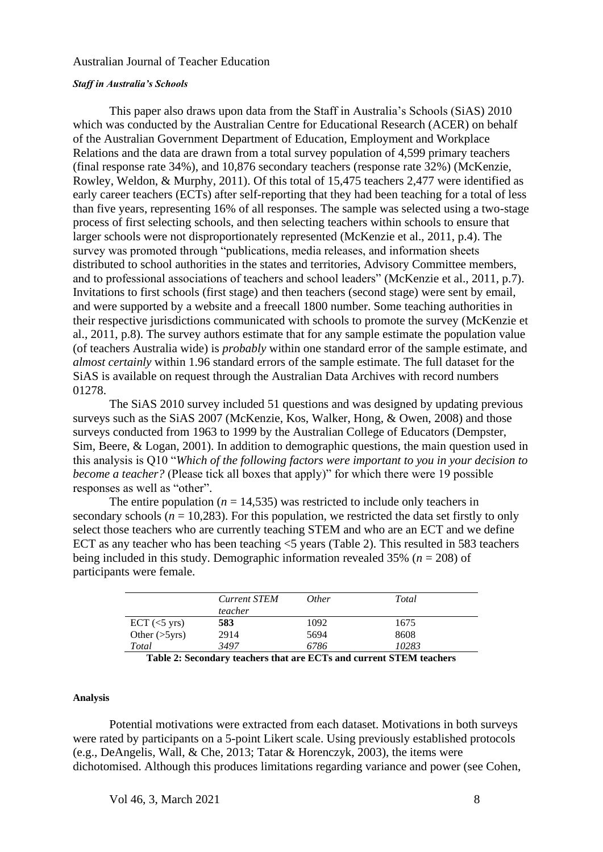#### *Staff in Australia's Schools*

This paper also draws upon data from the Staff in Australia's Schools (SiAS) 2010 which was conducted by the Australian Centre for Educational Research (ACER) on behalf of the Australian Government Department of Education, Employment and Workplace Relations and the data are drawn from a total survey population of 4,599 primary teachers (final response rate 34%), and 10,876 secondary teachers (response rate 32%) (McKenzie, Rowley, Weldon, & Murphy, 2011). Of this total of 15,475 teachers 2,477 were identified as early career teachers (ECTs) after self-reporting that they had been teaching for a total of less than five years, representing 16% of all responses. The sample was selected using a two-stage process of first selecting schools, and then selecting teachers within schools to ensure that larger schools were not disproportionately represented (McKenzie et al., 2011, p.4). The survey was promoted through "publications, media releases, and information sheets distributed to school authorities in the states and territories, Advisory Committee members, and to professional associations of teachers and school leaders" (McKenzie et al., 2011, p.7). Invitations to first schools (first stage) and then teachers (second stage) were sent by email, and were supported by a website and a freecall 1800 number. Some teaching authorities in their respective jurisdictions communicated with schools to promote the survey (McKenzie et al., 2011, p.8). The survey authors estimate that for any sample estimate the population value (of teachers Australia wide) is *probably* within one standard error of the sample estimate, and *almost certainly* within 1.96 standard errors of the sample estimate. The full dataset for the SiAS is available on request through the Australian Data Archives with record numbers 01278.

The SiAS 2010 survey included 51 questions and was designed by updating previous surveys such as the SiAS 2007 (McKenzie, Kos, Walker, Hong, & Owen, 2008) and those surveys conducted from 1963 to 1999 by the Australian College of Educators (Dempster, Sim, Beere, & Logan, 2001). In addition to demographic questions, the main question used in this analysis is Q10 "*Which of the following factors were important to you in your decision to become a teacher?* (Please tick all boxes that apply)" for which there were 19 possible responses as well as "other".

The entire population ( $n = 14,535$ ) was restricted to include only teachers in secondary schools ( $n = 10,283$ ). For this population, we restricted the data set firstly to only select those teachers who are currently teaching STEM and who are an ECT and we define ECT as any teacher who has been teaching <5 years (Table 2). This resulted in 583 teachers being included in this study. Demographic information revealed 35% (*n* = 208) of participants were female.

|                                    | <b>Current STEM</b><br>teacher | <i>Other</i> | Total |
|------------------------------------|--------------------------------|--------------|-------|
| $\text{ECT } (\leq 5 \text{ yrs})$ | 583                            | 1092         | 1675  |
| Other $(>\frac{5}{yrs})$           | 2914                           | 5694         | 8608  |
| Total                              | 3497                           | 6786         | 10283 |
|                                    |                                |              |       |

**Table 2: Secondary teachers that are ECTs and current STEM teachers**

#### **Analysis**

Potential motivations were extracted from each dataset. Motivations in both surveys were rated by participants on a 5-point Likert scale. Using previously established protocols (e.g., DeAngelis, Wall, & Che, 2013; Tatar & Horenczyk, 2003), the items were dichotomised. Although this produces limitations regarding variance and power (see Cohen,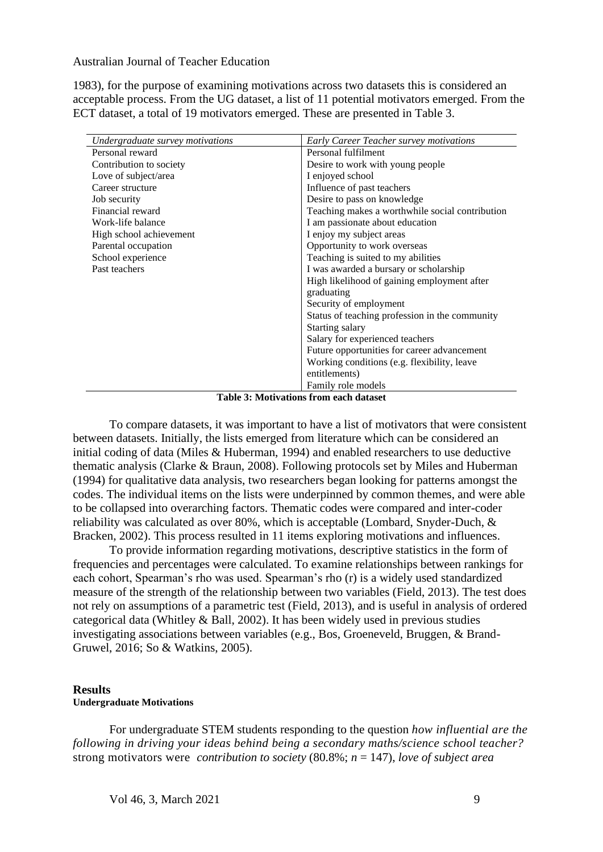1983), for the purpose of examining motivations across two datasets this is considered an acceptable process. From the UG dataset, a list of 11 potential motivators emerged. From the ECT dataset, a total of 19 motivators emerged. These are presented in Table 3.

| Undergraduate survey motivations | Early Career Teacher survey motivations         |
|----------------------------------|-------------------------------------------------|
| Personal reward                  | Personal fulfilment                             |
| Contribution to society          | Desire to work with young people                |
| Love of subject/area             | I enjoyed school                                |
| Career structure                 | Influence of past teachers                      |
| Job security                     | Desire to pass on knowledge                     |
| Financial reward                 | Teaching makes a worthwhile social contribution |
| Work-life balance                | I am passionate about education                 |
| High school achievement          | I enjoy my subject areas                        |
| Parental occupation              | Opportunity to work overseas                    |
| School experience                | Teaching is suited to my abilities              |
| Past teachers                    | I was awarded a bursary or scholarship          |
|                                  | High likelihood of gaining employment after     |
|                                  | graduating                                      |
|                                  | Security of employment                          |
|                                  | Status of teaching profession in the community  |
|                                  | Starting salary                                 |
|                                  | Salary for experienced teachers                 |
|                                  | Future opportunities for career advancement     |
|                                  | Working conditions (e.g. flexibility, leave     |
|                                  | entitlements)                                   |
|                                  | Family role models                              |

**Table 3: Motivations from each dataset**

To compare datasets, it was important to have a list of motivators that were consistent between datasets. Initially, the lists emerged from literature which can be considered an initial coding of data (Miles & Huberman, 1994) and enabled researchers to use deductive thematic analysis (Clarke & Braun, 2008). Following protocols set by Miles and Huberman (1994) for qualitative data analysis, two researchers began looking for patterns amongst the codes. The individual items on the lists were underpinned by common themes, and were able to be collapsed into overarching factors. Thematic codes were compared and inter-coder reliability was calculated as over 80%, which is acceptable (Lombard, Snyder-Duch, & Bracken, 2002). This process resulted in 11 items exploring motivations and influences.

To provide information regarding motivations, descriptive statistics in the form of frequencies and percentages were calculated. To examine relationships between rankings for each cohort, Spearman's rho was used. Spearman's rho (r) is a widely used standardized measure of the strength of the relationship between two variables (Field, 2013). The test does not rely on assumptions of a parametric test (Field, 2013), and is useful in analysis of ordered categorical data (Whitley & Ball, 2002). It has been widely used in previous studies investigating associations between variables (e.g., Bos, Groeneveld, Bruggen, & Brand-Gruwel, 2016; So & Watkins, 2005).

#### **Results Undergraduate Motivations**

For undergraduate STEM students responding to the question *how influential are the following in driving your ideas behind being a secondary maths/science school teacher?* strong motivators were *contribution to society* (80.8%; *n* = 147), *love of subject area*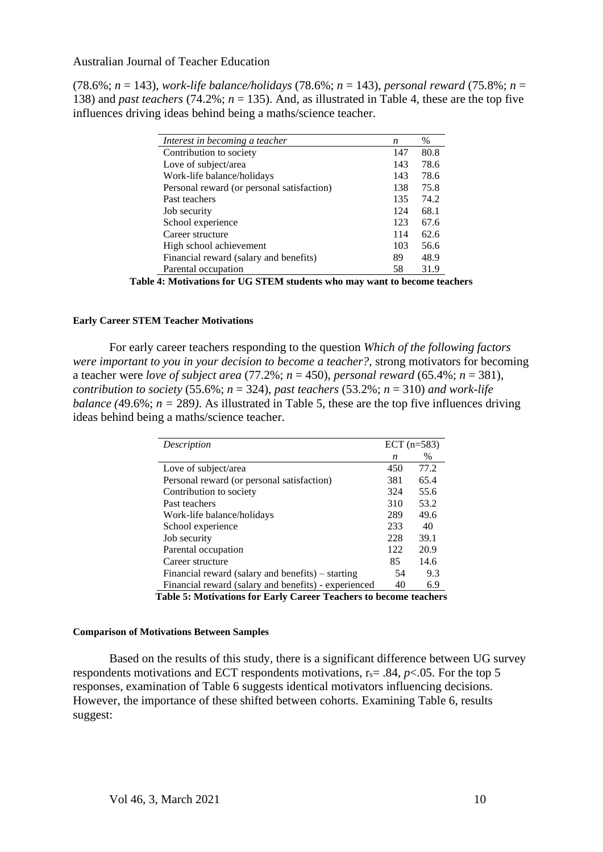(78.6%; *n* = 143), *work-life balance/holidays* (78.6%; *n* = 143), *personal reward* (75.8%; *n* = 138) and *past teachers* (74.2%; *n* = 135). And, as illustrated in Table 4, these are the top five influences driving ideas behind being a maths/science teacher.

| n   | $\%$ |
|-----|------|
| 147 | 80.8 |
| 143 | 78.6 |
| 143 | 78.6 |
| 138 | 75.8 |
| 135 | 74.2 |
| 124 | 68.1 |
| 123 | 67.6 |
| 114 | 62.6 |
| 103 | 56.6 |
| 89  | 48.9 |
| 58  | 31.9 |
|     |      |

**Table 4: Motivations for UG STEM students who may want to become teachers**

#### **Early Career STEM Teacher Motivations**

For early career teachers responding to the question *Which of the following factors were important to you in your decision to become a teacher?,* strong motivators for becoming a teacher were *love of subject area* (77.2%; *n* = 450), *personal reward* (65.4%; *n* = 381), *contribution to society*  $(55.6\%; n = 324)$ , *past teachers*  $(53.2\%; n = 310)$  *and work-life balance* (49.6%;  $n = 289$ ). As illustrated in Table 5, these are the top five influences driving ideas behind being a maths/science teacher.

| Description                                                       | ECT $(n=583)$ |      |  |
|-------------------------------------------------------------------|---------------|------|--|
|                                                                   | n             | $\%$ |  |
| Love of subject/area                                              | 450           | 77.2 |  |
| Personal reward (or personal satisfaction)                        | 381           | 65.4 |  |
| Contribution to society                                           | 324           | 55.6 |  |
| Past teachers                                                     | 310           | 53.2 |  |
| Work-life balance/holidays                                        | 289           | 49.6 |  |
| School experience                                                 | 233           | 40   |  |
| Job security                                                      | 228           | 39.1 |  |
| Parental occupation                                               | 122           | 20.9 |  |
| Career structure                                                  | 85            | 14.6 |  |
| Financial reward (salary and benefits) – starting                 | 54            | 9.3  |  |
| Financial reward (salary and benefits) - experienced              | 40            | 6.9  |  |
| Toble 5: Mativations for Forly Career Teachers to become togehers |               |      |  |

**Table 5: Motivations for Early Career Teachers to become teachers**

#### **Comparison of Motivations Between Samples**

Based on the results of this study, there is a significant difference between UG survey respondents motivations and ECT respondents motivations,  $r_s = .84$ ,  $p < .05$ . For the top 5 responses, examination of Table 6 suggests identical motivators influencing decisions. However, the importance of these shifted between cohorts. Examining Table 6, results suggest: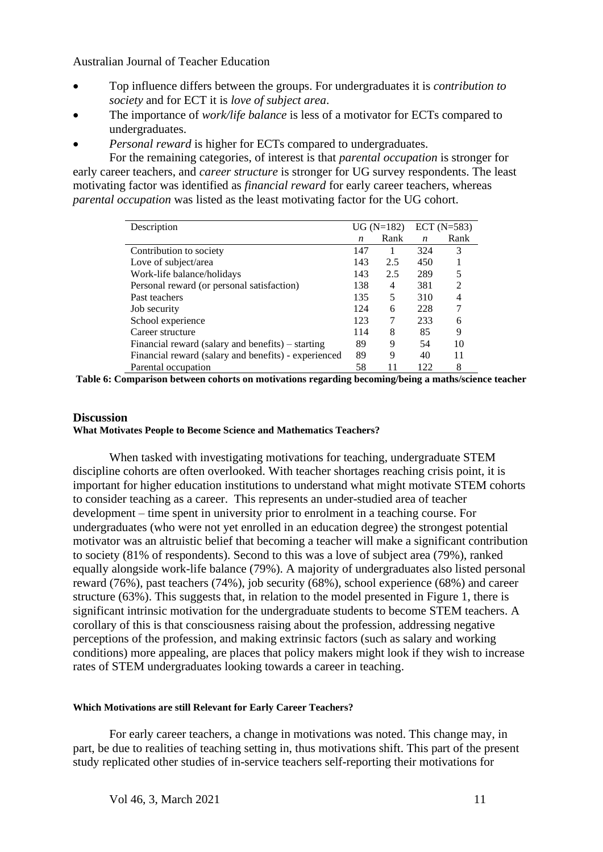- Top influence differs between the groups. For undergraduates it is *contribution to society* and for ECT it is *love of subject area*.
- The importance of *work/life balance* is less of a motivator for ECTs compared to undergraduates.
- *Personal reward* is higher for ECTs compared to undergraduates.

For the remaining categories, of interest is that *parental occupation* is stronger for early career teachers, and *career structure* is stronger for UG survey respondents. The least motivating factor was identified as *financial reward* for early career teachers, whereas *parental occupation* was listed as the least motivating factor for the UG cohort.

| Description                                          | $UG(N=182)$ |      | $ECT (N=583)$    |                |
|------------------------------------------------------|-------------|------|------------------|----------------|
|                                                      | n           | Rank | $\boldsymbol{n}$ | Rank           |
| Contribution to society                              | 147         |      | 324              | 3              |
| Love of subject/area                                 | 143         | 2.5  | 450              |                |
| Work-life balance/holidays                           | 143         | 2.5  | 289              | 5              |
| Personal reward (or personal satisfaction)           | 138         | 4    | 381              | $\mathfrak{D}$ |
| Past teachers                                        | 135         | 5    | 310              | 4              |
| Job security                                         | 124         | 6    | 228              |                |
| School experience                                    | 123         | 7    | 233              | 6              |
| Career structure                                     | 114         | 8    | 85               | 9              |
| Financial reward (salary and benefits) – starting    | 89          | 9    | 54               | 10             |
| Financial reward (salary and benefits) - experienced | 89          | 9    | 40               | 11             |
| Parental occupation                                  | 58          |      | 122              | 8              |

**Table 6: Comparison between cohorts on motivations regarding becoming/being a maths/science teacher**

## **Discussion What Motivates People to Become Science and Mathematics Teachers?**

When tasked with investigating motivations for teaching, undergraduate STEM discipline cohorts are often overlooked. With teacher shortages reaching crisis point, it is important for higher education institutions to understand what might motivate STEM cohorts to consider teaching as a career. This represents an under-studied area of teacher development – time spent in university prior to enrolment in a teaching course. For undergraduates (who were not yet enrolled in an education degree) the strongest potential motivator was an altruistic belief that becoming a teacher will make a significant contribution to society (81% of respondents). Second to this was a love of subject area (79%), ranked equally alongside work-life balance (79%). A majority of undergraduates also listed personal reward (76%), past teachers (74%), job security (68%), school experience (68%) and career structure (63%). This suggests that, in relation to the model presented in Figure 1, there is significant intrinsic motivation for the undergraduate students to become STEM teachers. A corollary of this is that consciousness raising about the profession, addressing negative perceptions of the profession, and making extrinsic factors (such as salary and working conditions) more appealing, are places that policy makers might look if they wish to increase rates of STEM undergraduates looking towards a career in teaching.

## **Which Motivations are still Relevant for Early Career Teachers?**

For early career teachers, a change in motivations was noted. This change may, in part, be due to realities of teaching setting in, thus motivations shift. This part of the present study replicated other studies of in-service teachers self-reporting their motivations for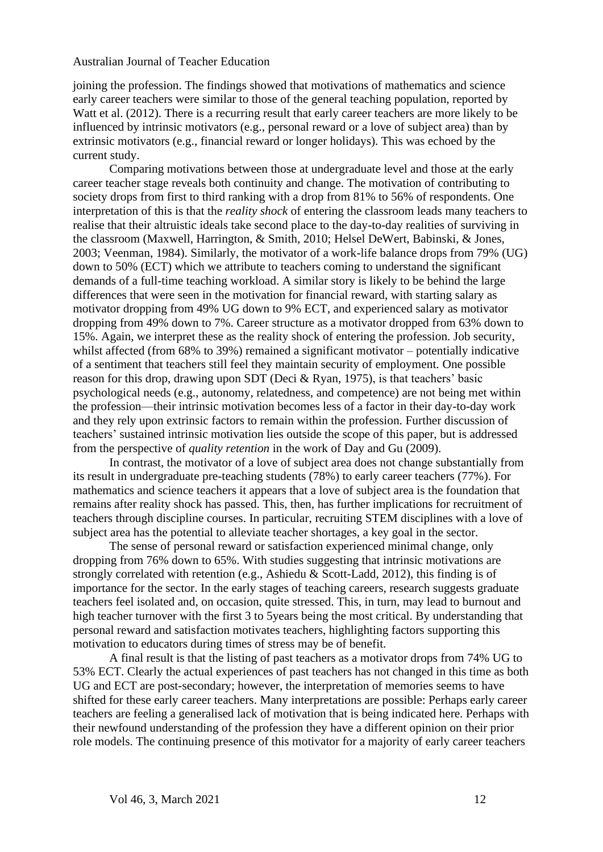joining the profession. The findings showed that motivations of mathematics and science early career teachers were similar to those of the general teaching population, reported by Watt et al. (2012). There is a recurring result that early career teachers are more likely to be influenced by intrinsic motivators (e.g., personal reward or a love of subject area) than by extrinsic motivators (e.g., financial reward or longer holidays). This was echoed by the current study.

Comparing motivations between those at undergraduate level and those at the early career teacher stage reveals both continuity and change. The motivation of contributing to society drops from first to third ranking with a drop from 81% to 56% of respondents. One interpretation of this is that the *reality shock* of entering the classroom leads many teachers to realise that their altruistic ideals take second place to the day-to-day realities of surviving in the classroom (Maxwell, Harrington, & Smith, 2010; Helsel DeWert, Babinski, & Jones, 2003; Veenman, 1984). Similarly, the motivator of a work-life balance drops from 79% (UG) down to 50% (ECT) which we attribute to teachers coming to understand the significant demands of a full-time teaching workload. A similar story is likely to be behind the large differences that were seen in the motivation for financial reward, with starting salary as motivator dropping from 49% UG down to 9% ECT, and experienced salary as motivator dropping from 49% down to 7%. Career structure as a motivator dropped from 63% down to 15%. Again, we interpret these as the reality shock of entering the profession. Job security, whilst affected (from 68% to 39%) remained a significant motivator – potentially indicative of a sentiment that teachers still feel they maintain security of employment. One possible reason for this drop, drawing upon SDT (Deci & Ryan, 1975), is that teachers' basic psychological needs (e.g., autonomy, relatedness, and competence) are not being met within the profession—their intrinsic motivation becomes less of a factor in their day-to-day work and they rely upon extrinsic factors to remain within the profession. Further discussion of teachers' sustained intrinsic motivation lies outside the scope of this paper, but is addressed from the perspective of *quality retention* in the work of Day and Gu (2009).

In contrast, the motivator of a love of subject area does not change substantially from its result in undergraduate pre-teaching students (78%) to early career teachers (77%). For mathematics and science teachers it appears that a love of subject area is the foundation that remains after reality shock has passed. This, then, has further implications for recruitment of teachers through discipline courses. In particular, recruiting STEM disciplines with a love of subject area has the potential to alleviate teacher shortages, a key goal in the sector.

The sense of personal reward or satisfaction experienced minimal change, only dropping from 76% down to 65%. With studies suggesting that intrinsic motivations are strongly correlated with retention (e.g., Ashiedu & Scott-Ladd, 2012), this finding is of importance for the sector. In the early stages of teaching careers, research suggests graduate teachers feel isolated and, on occasion, quite stressed. This, in turn, may lead to burnout and high teacher turnover with the first 3 to 5years being the most critical. By understanding that personal reward and satisfaction motivates teachers, highlighting factors supporting this motivation to educators during times of stress may be of benefit.

A final result is that the listing of past teachers as a motivator drops from 74% UG to 53% ECT. Clearly the actual experiences of past teachers has not changed in this time as both UG and ECT are post-secondary; however, the interpretation of memories seems to have shifted for these early career teachers. Many interpretations are possible: Perhaps early career teachers are feeling a generalised lack of motivation that is being indicated here. Perhaps with their newfound understanding of the profession they have a different opinion on their prior role models. The continuing presence of this motivator for a majority of early career teachers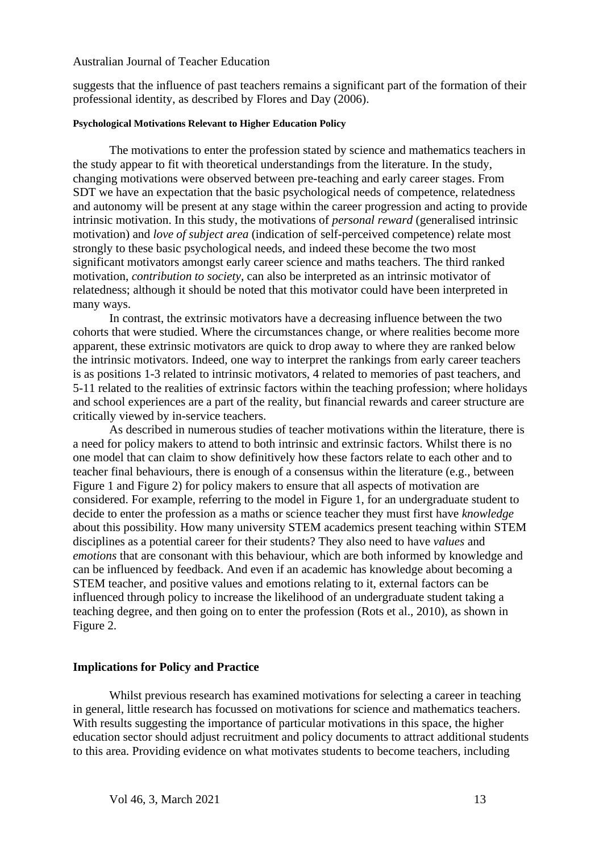suggests that the influence of past teachers remains a significant part of the formation of their professional identity, as described by Flores and Day (2006).

#### **Psychological Motivations Relevant to Higher Education Policy**

The motivations to enter the profession stated by science and mathematics teachers in the study appear to fit with theoretical understandings from the literature. In the study, changing motivations were observed between pre-teaching and early career stages. From SDT we have an expectation that the basic psychological needs of competence, relatedness and autonomy will be present at any stage within the career progression and acting to provide intrinsic motivation. In this study, the motivations of *personal reward* (generalised intrinsic motivation) and *love of subject area* (indication of self-perceived competence) relate most strongly to these basic psychological needs, and indeed these become the two most significant motivators amongst early career science and maths teachers. The third ranked motivation, *contribution to society*, can also be interpreted as an intrinsic motivator of relatedness; although it should be noted that this motivator could have been interpreted in many ways.

In contrast, the extrinsic motivators have a decreasing influence between the two cohorts that were studied. Where the circumstances change, or where realities become more apparent, these extrinsic motivators are quick to drop away to where they are ranked below the intrinsic motivators. Indeed, one way to interpret the rankings from early career teachers is as positions 1-3 related to intrinsic motivators, 4 related to memories of past teachers, and 5-11 related to the realities of extrinsic factors within the teaching profession; where holidays and school experiences are a part of the reality, but financial rewards and career structure are critically viewed by in-service teachers.

As described in numerous studies of teacher motivations within the literature, there is a need for policy makers to attend to both intrinsic and extrinsic factors. Whilst there is no one model that can claim to show definitively how these factors relate to each other and to teacher final behaviours, there is enough of a consensus within the literature (e.g., between Figure 1 and Figure 2) for policy makers to ensure that all aspects of motivation are considered. For example, referring to the model in Figure 1, for an undergraduate student to decide to enter the profession as a maths or science teacher they must first have *knowledge*  about this possibility. How many university STEM academics present teaching within STEM disciplines as a potential career for their students? They also need to have *values* and *emotions* that are consonant with this behaviour, which are both informed by knowledge and can be influenced by feedback. And even if an academic has knowledge about becoming a STEM teacher, and positive values and emotions relating to it, external factors can be influenced through policy to increase the likelihood of an undergraduate student taking a teaching degree, and then going on to enter the profession (Rots et al., 2010), as shown in Figure 2.

#### **Implications for Policy and Practice**

Whilst previous research has examined motivations for selecting a career in teaching in general, little research has focussed on motivations for science and mathematics teachers. With results suggesting the importance of particular motivations in this space, the higher education sector should adjust recruitment and policy documents to attract additional students to this area. Providing evidence on what motivates students to become teachers, including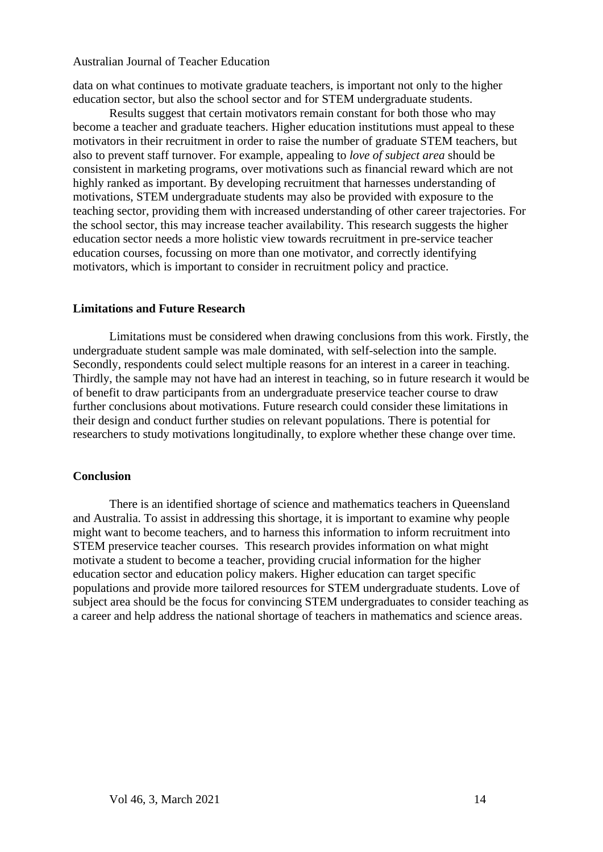data on what continues to motivate graduate teachers, is important not only to the higher education sector, but also the school sector and for STEM undergraduate students.

Results suggest that certain motivators remain constant for both those who may become a teacher and graduate teachers. Higher education institutions must appeal to these motivators in their recruitment in order to raise the number of graduate STEM teachers, but also to prevent staff turnover. For example, appealing to *love of subject area* should be consistent in marketing programs, over motivations such as financial reward which are not highly ranked as important. By developing recruitment that harnesses understanding of motivations, STEM undergraduate students may also be provided with exposure to the teaching sector, providing them with increased understanding of other career trajectories. For the school sector, this may increase teacher availability. This research suggests the higher education sector needs a more holistic view towards recruitment in pre-service teacher education courses, focussing on more than one motivator, and correctly identifying motivators, which is important to consider in recruitment policy and practice.

## **Limitations and Future Research**

Limitations must be considered when drawing conclusions from this work. Firstly, the undergraduate student sample was male dominated, with self-selection into the sample. Secondly, respondents could select multiple reasons for an interest in a career in teaching. Thirdly, the sample may not have had an interest in teaching, so in future research it would be of benefit to draw participants from an undergraduate preservice teacher course to draw further conclusions about motivations. Future research could consider these limitations in their design and conduct further studies on relevant populations. There is potential for researchers to study motivations longitudinally, to explore whether these change over time.

## **Conclusion**

There is an identified shortage of science and mathematics teachers in Queensland and Australia. To assist in addressing this shortage, it is important to examine why people might want to become teachers, and to harness this information to inform recruitment into STEM preservice teacher courses. This research provides information on what might motivate a student to become a teacher, providing crucial information for the higher education sector and education policy makers. Higher education can target specific populations and provide more tailored resources for STEM undergraduate students. Love of subject area should be the focus for convincing STEM undergraduates to consider teaching as a career and help address the national shortage of teachers in mathematics and science areas.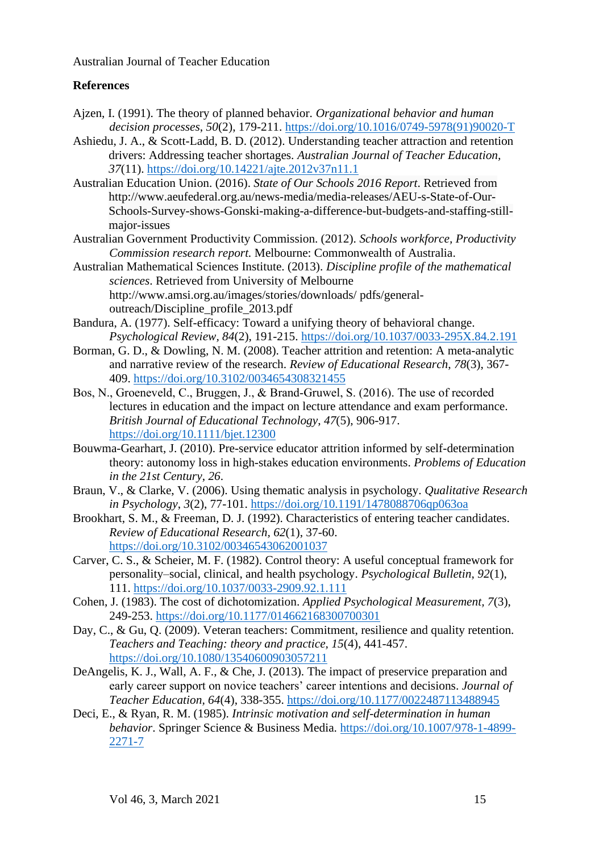## **References**

- Ajzen, I. (1991). The theory of planned behavior. *Organizational behavior and human decision processes*, *50*(2), 179-211. [https://doi.org/10.1016/0749-5978\(91\)90020-T](https://doi.org/10.1016/0749-5978(91)90020-T)
- Ashiedu, J. A., & Scott-Ladd, B. D. (2012). Understanding teacher attraction and retention drivers: Addressing teacher shortages. *Australian Journal of Teacher Education, 37*(11).<https://doi.org/10.14221/ajte.2012v37n11.1>
- Australian Education Union. (2016). *State of Our Schools 2016 Report*. Retrieved from http://www.aeufederal.org.au/news-media/media-releases/AEU-s-State-of-Our-Schools-Survey-shows-Gonski-making-a-difference-but-budgets-and-staffing-stillmajor-issues
- Australian Government Productivity Commission. (2012). *Schools workforce, Productivity Commission research report.* Melbourne: Commonwealth of Australia.
- Australian Mathematical Sciences Institute. (2013). *Discipline profile of the mathematical sciences*. Retrieved from University of Melbourne http://www.amsi.org.au/images/stories/downloads/ pdfs/generaloutreach/Discipline\_profile\_2013.pdf
- Bandura, A. (1977). Self-efficacy: Toward a unifying theory of behavioral change. *Psychological Review, 84*(2), 191-215. <https://doi.org/10.1037/0033-295X.84.2.191>
- Borman, G. D., & Dowling, N. M. (2008). Teacher attrition and retention: A meta-analytic and narrative review of the research. *Review of Educational Research*, *78*(3), 367- 409. <https://doi.org/10.3102/0034654308321455>
- Bos, N., Groeneveld, C., Bruggen, J., & Brand‐Gruwel, S. (2016). The use of recorded lectures in education and the impact on lecture attendance and exam performance. *British Journal of Educational Technology*, *47*(5), 906-917. <https://doi.org/10.1111/bjet.12300>
- Bouwma-Gearhart, J. (2010). Pre-service educator attrition informed by self-determination theory: autonomy loss in high-stakes education environments. *Problems of Education in the 21st Century*, *26*.
- Braun, V., & Clarke, V. (2006). Using thematic analysis in psychology. *Qualitative Research in Psychology*, *3*(2), 77-101. <https://doi.org/10.1191/1478088706qp063oa>
- Brookhart, S. M., & Freeman, D. J. (1992). Characteristics of entering teacher candidates. *Review of Educational Research, 62*(1), 37-60. <https://doi.org/10.3102/00346543062001037>
- Carver, C. S., & Scheier, M. F. (1982). Control theory: A useful conceptual framework for personality–social, clinical, and health psychology. *Psychological Bulletin*, *92*(1), 111. <https://doi.org/10.1037/0033-2909.92.1.111>
- Cohen, J. (1983). The cost of dichotomization. *Applied Psychological Measurement, 7*(3), 249-253.<https://doi.org/10.1177/014662168300700301>
- Day, C., & Gu, Q. (2009). Veteran teachers: Commitment, resilience and quality retention. *Teachers and Teaching: theory and practice, 15*(4), 441-457. <https://doi.org/10.1080/13540600903057211>
- DeAngelis, K. J., Wall, A. F., & Che, J. (2013). The impact of preservice preparation and early career support on novice teachers' career intentions and decisions. *Journal of Teacher Education, 64*(4), 338-355. <https://doi.org/10.1177/0022487113488945>
- Deci, E., & Ryan, R. M. (1985). *Intrinsic motivation and self-determination in human behavior*. Springer Science & Business Media. [https://doi.org/10.1007/978-1-4899-](https://doi.org/10.1007/978-1-4899-2271-7) [2271-7](https://doi.org/10.1007/978-1-4899-2271-7)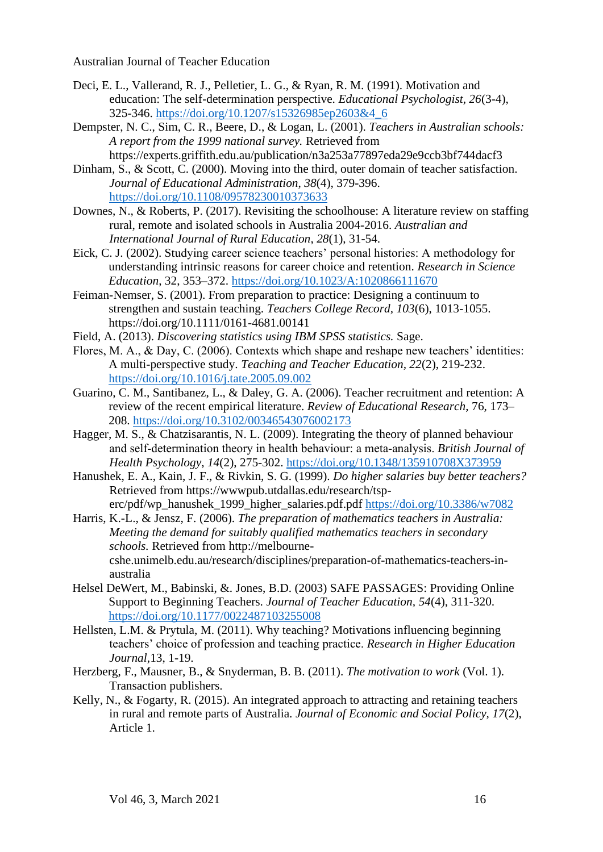- Deci, E. L., Vallerand, R. J., Pelletier, L. G., & Ryan, R. M. (1991). Motivation and education: The self-determination perspective. *Educational Psychologist, 26*(3-4), 325-346. [https://doi.org/10.1207/s15326985ep2603&4\\_6](https://doi.org/10.1207/s15326985ep2603&4_6)
- Dempster, N. C., Sim, C. R., Beere, D., & Logan, L. (2001). *Teachers in Australian schools: A report from the 1999 national survey.* Retrieved from https://experts.griffith.edu.au/publication/n3a253a77897eda29e9ccb3bf744dacf3
- Dinham, S., & Scott, C. (2000). Moving into the third, outer domain of teacher satisfaction. *Journal of Educational Administration*, *38*(4), 379-396. <https://doi.org/10.1108/09578230010373633>
- Downes, N., & Roberts, P. (2017). Revisiting the schoolhouse: A literature review on staffing rural, remote and isolated schools in Australia 2004-2016. *Australian and International Journal of Rural Education*, *28*(1), 31-54.
- Eick, C. J. (2002). Studying career science teachers' personal histories: A methodology for understanding intrinsic reasons for career choice and retention. *Research in Science Education*, 32, 353–372. <https://doi.org/10.1023/A:1020866111670>
- Feiman-Nemser, S. (2001). From preparation to practice: Designing a continuum to strengthen and sustain teaching. *Teachers College Record, 103*(6), 1013-1055. https://doi.org/10.1111/0161-4681.00141
- Field, A. (2013). *Discovering statistics using IBM SPSS statistics.* Sage.
- Flores, M. A., & Day, C. (2006). Contexts which shape and reshape new teachers' identities: A multi-perspective study. *Teaching and Teacher Education, 22*(2), 219-232. <https://doi.org/10.1016/j.tate.2005.09.002>
- Guarino, C. M., Santibanez, L., & Daley, G. A. (2006). Teacher recruitment and retention: A review of the recent empirical literature. *Review of Educational Research*, 76, 173– 208. <https://doi.org/10.3102/00346543076002173>
- Hagger, M. S., & Chatzisarantis, N. L. (2009). Integrating the theory of planned behaviour and self‐determination theory in health behaviour: a meta‐analysis. *British Journal of Health Psychology*, *14*(2), 275-302. <https://doi.org/10.1348/135910708X373959>
- Hanushek, E. A., Kain, J. F., & Rivkin, S. G. (1999). *Do higher salaries buy better teachers?* Retrieved from https://wwwpub.utdallas.edu/research/tsperc/pdf/wp\_hanushek\_1999\_higher\_salaries.pdf.pdf <https://doi.org/10.3386/w7082>
- Harris, K.-L., & Jensz, F. (2006). *The preparation of mathematics teachers in Australia: Meeting the demand for suitably qualified mathematics teachers in secondary schools.* Retrieved from http://melbournecshe.unimelb.edu.au/research/disciplines/preparation-of-mathematics-teachers-inaustralia
- Helsel DeWert, M., Babinski, &. Jones, B.D. (2003) SAFE PASSAGES: Providing Online Support to Beginning Teachers. *Journal of Teacher Education, 54*(4), 311-320. <https://doi.org/10.1177/0022487103255008>
- Hellsten, L.M. & Prytula, M. (2011). Why teaching? Motivations influencing beginning teachers' choice of profession and teaching practice. *Research in Higher Education Journal,*13, 1-19.
- Herzberg, F., Mausner, B., & Snyderman, B. B. (2011). *The motivation to work* (Vol. 1). Transaction publishers.
- Kelly, N., & Fogarty, R. (2015). An integrated approach to attracting and retaining teachers in rural and remote parts of Australia. *Journal of Economic and Social Policy, 17*(2), Article 1.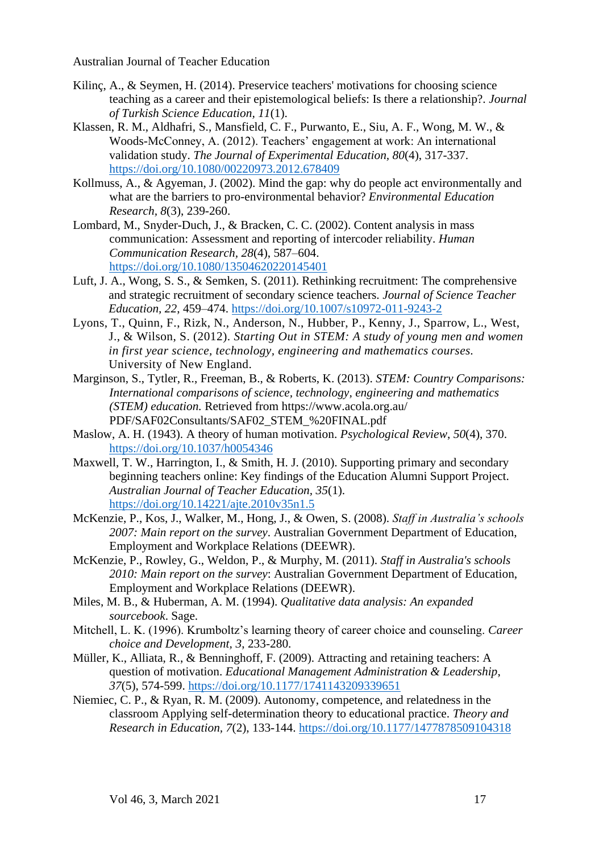- Kilinç, A., & Seymen, H. (2014). Preservice teachers' motivations for choosing science teaching as a career and their epistemological beliefs: Is there a relationship?. *Journal of Turkish Science Education, 11*(1).
- Klassen, R. M., Aldhafri, S., Mansfield, C. F., Purwanto, E., Siu, A. F., Wong, M. W., & Woods-McConney, A. (2012). Teachers' engagement at work: An international validation study. *The Journal of Experimental Education, 80*(4), 317-337. <https://doi.org/10.1080/00220973.2012.678409>
- Kollmuss, A., & Agyeman, J. (2002). Mind the gap: why do people act environmentally and what are the barriers to pro-environmental behavior? *Environmental Education Research, 8*(3), 239-260.
- Lombard, M., Snyder-Duch, J., & Bracken, C. C. (2002). Content analysis in mass communication: Assessment and reporting of intercoder reliability. *Human Communication Research, 28*(4), 587–604. <https://doi.org/10.1080/13504620220145401>
- Luft, J. A., Wong, S. S., & Semken, S. (2011). Rethinking recruitment: The comprehensive and strategic recruitment of secondary science teachers. *Journal of Science Teacher Education, 22*, 459–474. <https://doi.org/10.1007/s10972-011-9243-2>
- Lyons, T., Quinn, F., Rizk, N., Anderson, N., Hubber, P., Kenny, J., Sparrow, L., West, J., & Wilson, S. (2012). *Starting Out in STEM: A study of young men and women in first year science, technology, engineering and mathematics courses.* University of New England.
- Marginson, S., Tytler, R., Freeman, B., & Roberts, K. (2013). *STEM: Country Comparisons: International comparisons of science, technology, engineering and mathematics (STEM) education.* Retrieved from https://www.acola.org.au/ PDF/SAF02Consultants/SAF02\_STEM\_%20FINAL.pdf
- Maslow, A. H. (1943). A theory of human motivation. *Psychological Review*, *50*(4), 370. <https://doi.org/10.1037/h0054346>
- Maxwell, T. W., Harrington, I., & Smith, H. J. (2010). Supporting primary and secondary beginning teachers online: Key findings of the Education Alumni Support Project. *Australian Journal of Teacher Education, 35*(1). <https://doi.org/10.14221/ajte.2010v35n1.5>
- McKenzie, P., Kos, J., Walker, M., Hong, J., & Owen, S. (2008). *Staff in Australia's schools 2007: Main report on the survey*. Australian Government Department of Education, Employment and Workplace Relations (DEEWR).
- McKenzie, P., Rowley, G., Weldon, P., & Murphy, M. (2011). *Staff in Australia's schools 2010: Main report on the survey*: Australian Government Department of Education, Employment and Workplace Relations (DEEWR).
- Miles, M. B., & Huberman, A. M. (1994). *Qualitative data analysis: An expanded sourcebook*. Sage.
- Mitchell, L. K. (1996). Krumboltz's learning theory of career choice and counseling. *Career choice and Development, 3*, 233-280.
- Müller, K., Alliata, R., & Benninghoff, F. (2009). Attracting and retaining teachers: A question of motivation. *Educational Management Administration & Leadership*, *37*(5), 574-599. <https://doi.org/10.1177/1741143209339651>
- Niemiec, C. P., & Ryan, R. M. (2009). Autonomy, competence, and relatedness in the classroom Applying self-determination theory to educational practice. *Theory and Research in Education, 7*(2), 133-144.<https://doi.org/10.1177/1477878509104318>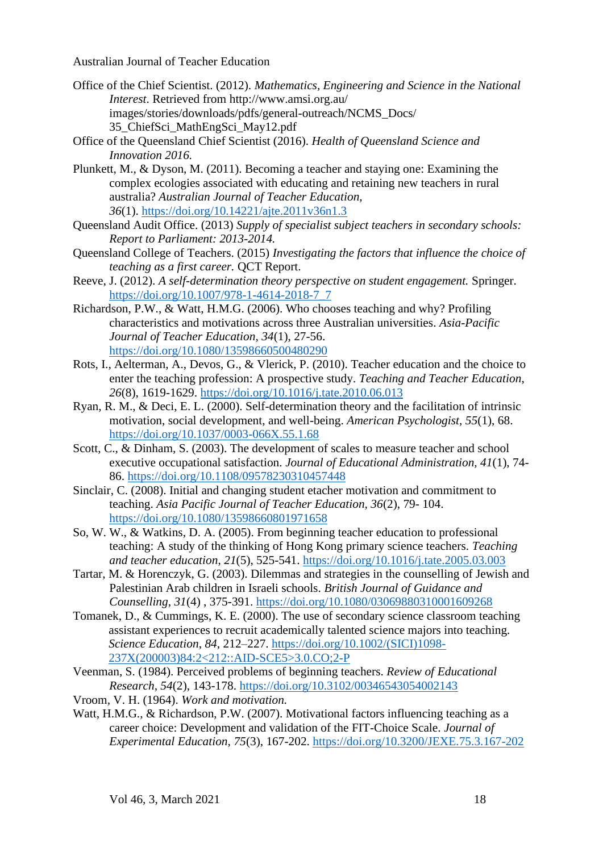- Office of the Chief Scientist. (2012). *Mathematics, Engineering and Science in the National Interest*. Retrieved from http://www.amsi.org.au/ images/stories/downloads/pdfs/general-outreach/NCMS\_Docs/ 35\_ChiefSci\_MathEngSci\_May12.pdf
- Office of the Queensland Chief Scientist (2016). *Health of Queensland Science and Innovation 2016.*
- Plunkett, M., & Dyson, M. (2011). Becoming a teacher and staying one: Examining the complex ecologies associated with educating and retaining new teachers in rural australia? *Australian Journal of Teacher Education, 36*(1). <https://doi.org/10.14221/ajte.2011v36n1.3>
- Queensland Audit Office. (2013) *Supply of specialist subject teachers in secondary schools: Report to Parliament: 2013-2014.*
- Queensland College of Teachers. (2015) *Investigating the factors that influence the choice of teaching as a first career.* QCT Report.
- Reeve, J. (2012). *A self-determination theory perspective on student engagement.* Springer. [https://doi.org/10.1007/978-1-4614-2018-7\\_7](https://doi.org/10.1007/978-1-4614-2018-7_7)
- Richardson, P.W., & Watt, H.M.G. (2006). Who chooses teaching and why? Profiling characteristics and motivations across three Australian universities. *Asia-Pacific Journal of Teacher Education, 34*(1), 27-56. <https://doi.org/10.1080/13598660500480290>
- Rots, I., Aelterman, A., Devos, G., & Vlerick, P. (2010). Teacher education and the choice to enter the teaching profession: A prospective study. *Teaching and Teacher Education*, *26*(8), 1619-1629. <https://doi.org/10.1016/j.tate.2010.06.013>
- Ryan, R. M., & Deci, E. L. (2000). Self-determination theory and the facilitation of intrinsic motivation, social development, and well-being. *American Psychologist, 55*(1), 68. <https://doi.org/10.1037/0003-066X.55.1.68>
- Scott, C., & Dinham, S. (2003). The development of scales to measure teacher and school executive occupational satisfaction. *Journal of Educational Administration, 41*(1), 74- 86. <https://doi.org/10.1108/09578230310457448>
- Sinclair, C. (2008). Initial and changing student etacher motivation and commitment to teaching. *Asia Pacific Journal of Teacher Education, 36*(2), 79- 104. <https://doi.org/10.1080/13598660801971658>
- So, W. W., & Watkins, D. A. (2005). From beginning teacher education to professional teaching: A study of the thinking of Hong Kong primary science teachers. *Teaching and teacher education*, *21*(5), 525-541. <https://doi.org/10.1016/j.tate.2005.03.003>
- Tartar, M. & Horenczyk, G. (2003). Dilemmas and strategies in the counselling of Jewish and Palestinian Arab children in Israeli schools. *British Journal of Guidance and Counselling, 31*(4) , 375-391. <https://doi.org/10.1080/03069880310001609268>
- Tomanek, D., & Cummings, K. E. (2000). The use of secondary science classroom teaching assistant experiences to recruit academically talented science majors into teaching. *Science Education*, *84*, 212–227. [https://doi.org/10.1002/\(SICI\)1098-](https://doi.org/10.1002/(SICI)1098-237X(200003)84:2%3C212::AID-SCE5%3E3.0.CO;2-P) [237X\(200003\)84:2<212::AID-SCE5>3.0.CO;2-P](https://doi.org/10.1002/(SICI)1098-237X(200003)84:2%3C212::AID-SCE5%3E3.0.CO;2-P)
- Veenman, S. (1984). Perceived problems of beginning teachers. *Review of Educational Research, 54*(2), 143-178.<https://doi.org/10.3102/00346543054002143>
- Vroom, V. H. (1964). *Work and motivation.*
- Watt, H.M.G., & Richardson, P.W. (2007). Motivational factors influencing teaching as a career choice: Development and validation of the FIT-Choice Scale. *Journal of Experimental Education, 75*(3), 167-202.<https://doi.org/10.3200/JEXE.75.3.167-202>